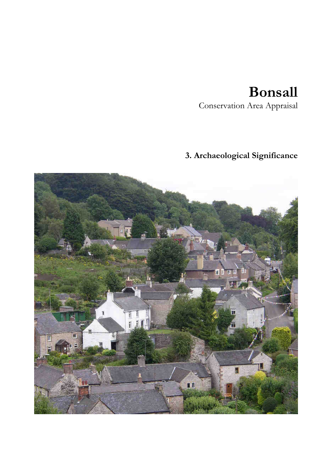## **Bonsall**

Conservation Area Appraisal

## **3. Archaeological Significance**